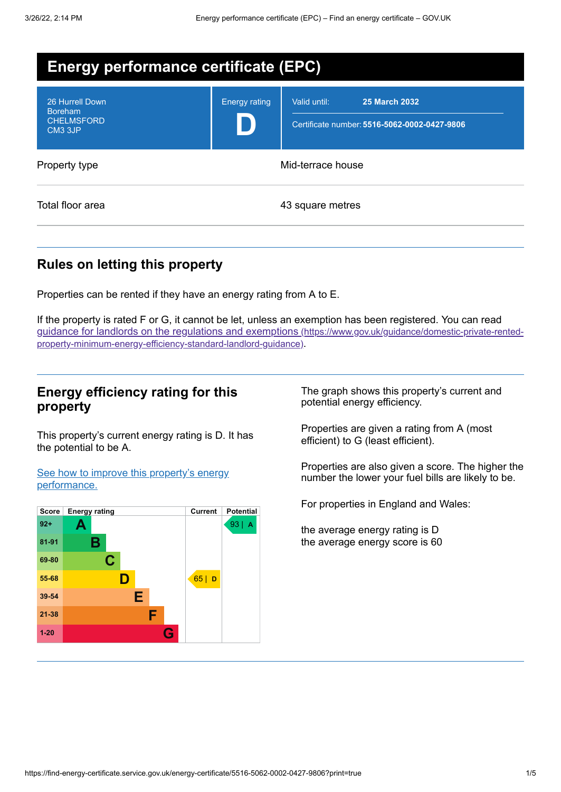| <b>Energy performance certificate (EPC)</b>                                   |                      |                                                                                      |
|-------------------------------------------------------------------------------|----------------------|--------------------------------------------------------------------------------------|
| 26 Hurrell Down<br><b>Boreham</b><br><b>CHELMSFORD</b><br>CM <sub>3</sub> 3JP | <b>Energy rating</b> | Valid until:<br><b>25 March 2032</b><br>Certificate number: 5516-5062-0002-0427-9806 |
| Property type                                                                 |                      | Mid-terrace house                                                                    |
| Total floor area                                                              |                      | 43 square metres                                                                     |

## **Rules on letting this property**

Properties can be rented if they have an energy rating from A to E.

If the property is rated F or G, it cannot be let, unless an exemption has been registered. You can read guidance for landlords on the regulations and exemptions (https://www.gov.uk/guidance/domestic-private-rented[property-minimum-energy-efficiency-standard-landlord-guidance\)](https://www.gov.uk/guidance/domestic-private-rented-property-minimum-energy-efficiency-standard-landlord-guidance).

## **Energy efficiency rating for this property**

This property's current energy rating is D. It has the potential to be A.

See how to improve this property's energy [performance.](#page-2-0)



The graph shows this property's current and potential energy efficiency.

Properties are given a rating from A (most efficient) to G (least efficient).

Properties are also given a score. The higher the number the lower your fuel bills are likely to be.

For properties in England and Wales:

the average energy rating is D the average energy score is 60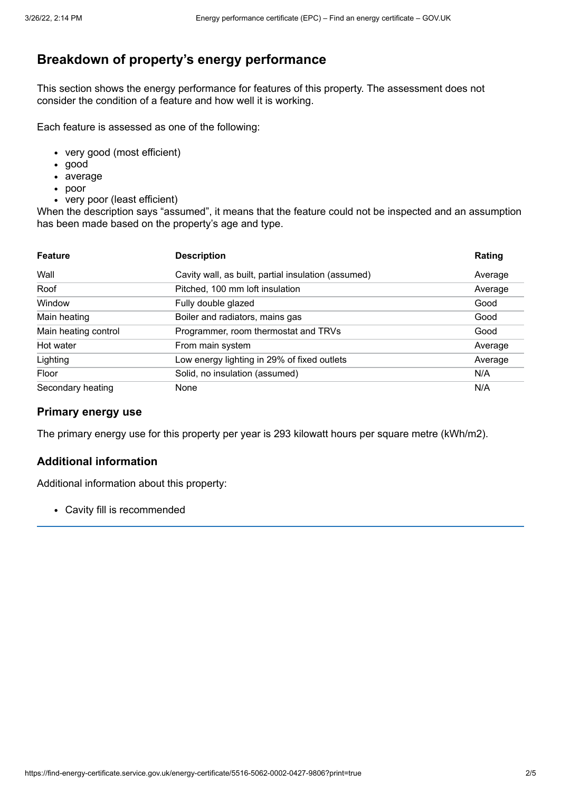# **Breakdown of property's energy performance**

This section shows the energy performance for features of this property. The assessment does not consider the condition of a feature and how well it is working.

Each feature is assessed as one of the following:

- very good (most efficient)
- good
- average
- poor
- very poor (least efficient)

When the description says "assumed", it means that the feature could not be inspected and an assumption has been made based on the property's age and type.

| <b>Feature</b>       | <b>Description</b>                                  | Rating  |
|----------------------|-----------------------------------------------------|---------|
| Wall                 | Cavity wall, as built, partial insulation (assumed) | Average |
| Roof                 | Pitched, 100 mm loft insulation                     | Average |
| Window               | Fully double glazed                                 | Good    |
| Main heating         | Boiler and radiators, mains gas                     | Good    |
| Main heating control | Programmer, room thermostat and TRVs                | Good    |
| Hot water            | From main system                                    | Average |
| Lighting             | Low energy lighting in 29% of fixed outlets         | Average |
| Floor                | Solid, no insulation (assumed)                      | N/A     |
| Secondary heating    | None                                                | N/A     |

#### **Primary energy use**

The primary energy use for this property per year is 293 kilowatt hours per square metre (kWh/m2).

### **Additional information**

Additional information about this property:

Cavity fill is recommended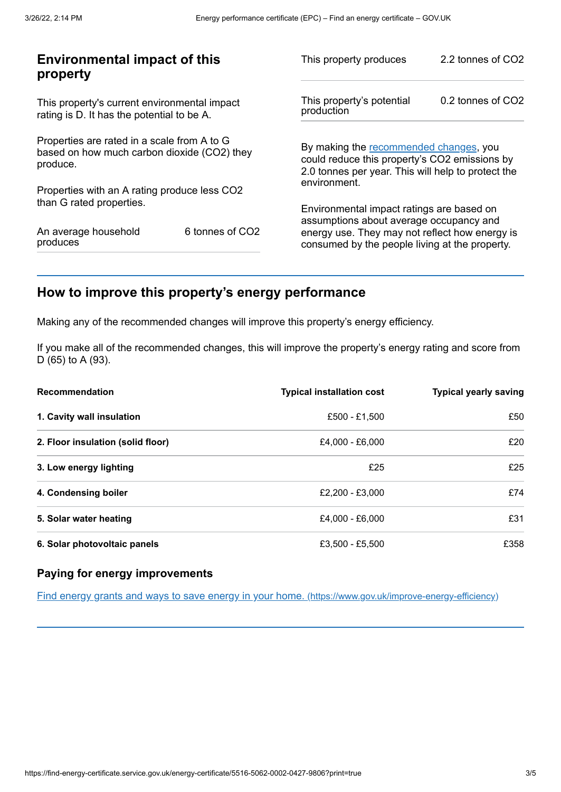| <b>Environmental impact of this</b><br>property                                                        |                 | This property produces                                                                                                                        | 2.2 tonnes of CO2 |
|--------------------------------------------------------------------------------------------------------|-----------------|-----------------------------------------------------------------------------------------------------------------------------------------------|-------------------|
| This property's current environmental impact<br>rating is D. It has the potential to be A.             |                 | This property's potential<br>production                                                                                                       | 0.2 tonnes of CO2 |
| Properties are rated in a scale from A to G<br>based on how much carbon dioxide (CO2) they<br>produce. |                 | By making the recommended changes, you<br>could reduce this property's CO2 emissions by<br>2.0 tonnes per year. This will help to protect the |                   |
| Properties with an A rating produce less CO2                                                           |                 | environment.                                                                                                                                  |                   |
| than G rated properties.                                                                               |                 | Environmental impact ratings are based on<br>assumptions about average occupancy and                                                          |                   |
| An average household<br>produces                                                                       | 6 tonnes of CO2 | energy use. They may not reflect how energy is<br>consumed by the people living at the property.                                              |                   |
|                                                                                                        |                 |                                                                                                                                               |                   |

# <span id="page-2-0"></span>**How to improve this property's energy performance**

Making any of the recommended changes will improve this property's energy efficiency.

If you make all of the recommended changes, this will improve the property's energy rating and score from D (65) to A (93).

| <b>Recommendation</b>             | <b>Typical installation cost</b> | <b>Typical yearly saving</b> |
|-----------------------------------|----------------------------------|------------------------------|
| 1. Cavity wall insulation         | £500 - £1,500                    | £50                          |
| 2. Floor insulation (solid floor) | £4,000 - £6,000                  | £20                          |
| 3. Low energy lighting            | £25                              | £25                          |
| 4. Condensing boiler              | £2.200 - £3.000                  | £74                          |
| 5. Solar water heating            | £4,000 - £6,000                  | £31                          |
| 6. Solar photovoltaic panels      | £3.500 - £5.500                  | £358                         |

### **Paying for energy improvements**

Find energy grants and ways to save energy in your home. [\(https://www.gov.uk/improve-energy-efficiency\)](https://www.gov.uk/improve-energy-efficiency)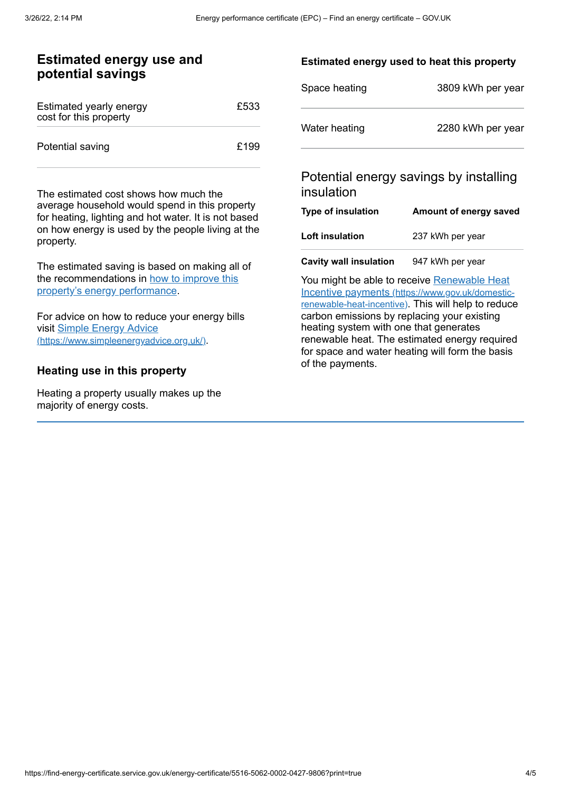### **Estimated energy use and potential savings**

| Estimated yearly energy<br>cost for this property | £533 |
|---------------------------------------------------|------|
| Potential saving                                  | £199 |

The estimated cost shows how much the average household would spend in this property for heating, lighting and hot water. It is not based on how energy is used by the people living at the property.

The estimated saving is based on making all of the [recommendations](#page-2-0) in how to improve this property's energy performance.

For advice on how to reduce your energy bills visit Simple Energy Advice [\(https://www.simpleenergyadvice.org.uk/\)](https://www.simpleenergyadvice.org.uk/).

#### **Heating use in this property**

Heating a property usually makes up the majority of energy costs.

#### **Estimated energy used to heat this property**

| Space heating | 3809 kWh per year |
|---------------|-------------------|
| Water heating | 2280 kWh per year |

## Potential energy savings by installing insulation

| Type of insulation | Amount of energy saved |
|--------------------|------------------------|
| Loft insulation    | 237 kWh per year       |
|                    |                        |

**Cavity wall insulation** 947 kWh per year

You might be able to receive Renewable Heat Incentive payments [\(https://www.gov.uk/domestic](https://www.gov.uk/domestic-renewable-heat-incentive)renewable-heat-incentive). This will help to reduce carbon emissions by replacing your existing heating system with one that generates renewable heat. The estimated energy required for space and water heating will form the basis of the payments.